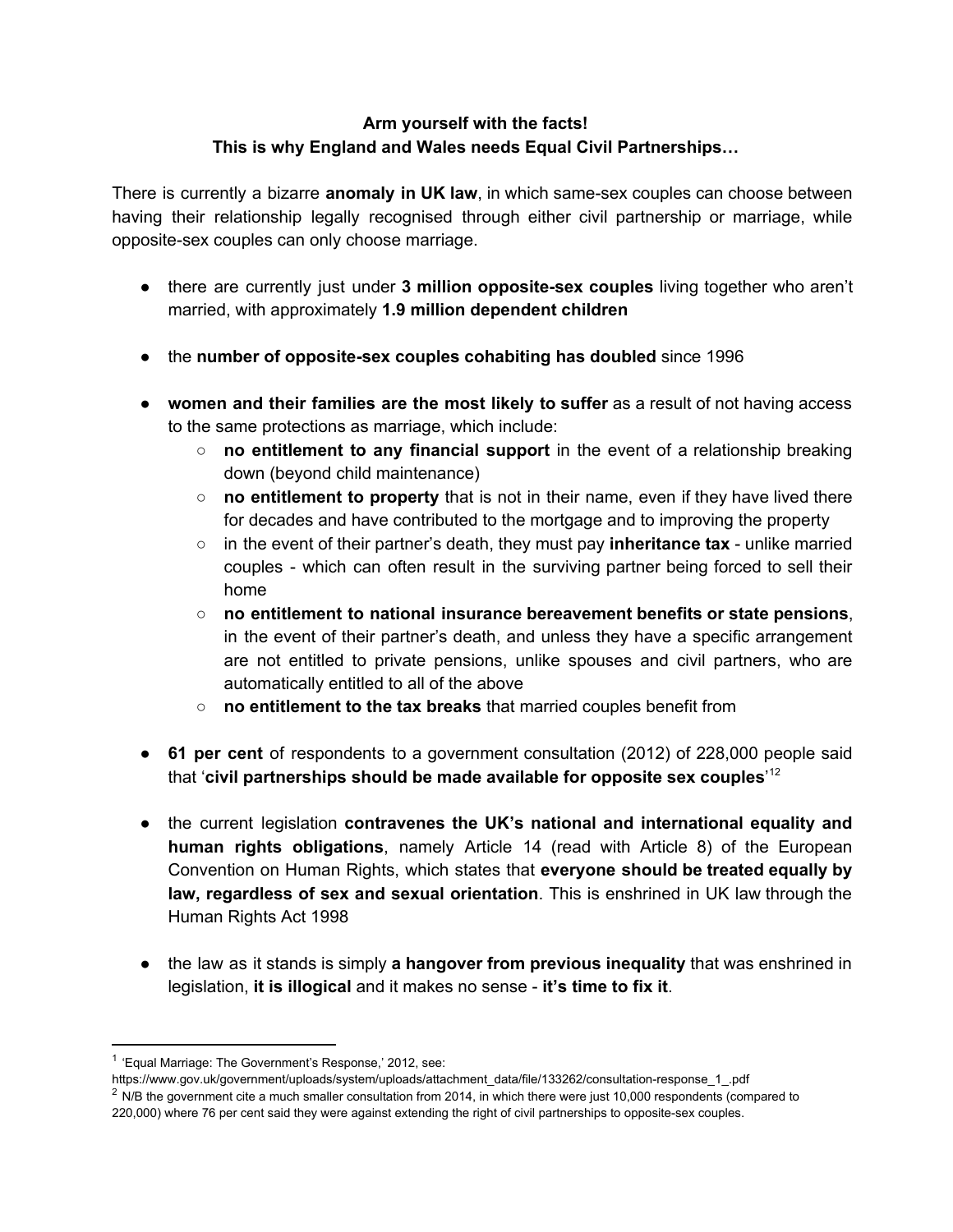## **Arm yourself with the facts! This is why England and Wales needs Equal Civil Partnerships…**

There is currently a bizarre **anomaly in UK law**, in which samesex couples can choose between having their relationship legally recognised through either civil partnership or marriage, while opposite-sex couples can only choose marriage.

- there are currently just under **3 million oppositesex couples** living together who aren't married, with approximately **1.9 million dependent children**
- the **number of oppositesex couples cohabiting has doubled**since 1996
- **women and their families are the most likely to suffer** as a result of not having access to the same protections as marriage, which include:
	- **no entitlement to any financial support** in the event of a relationship breaking down (beyond child maintenance)
	- **no entitlement to property** that is not in their name, even if they have lived there for decades and have contributed to the mortgage and to improving the property
	- in the event of their partner's death, they must pay **inheritance tax** unlike married couples which can often result in the surviving partner being forced to sell their home
	- **no entitlement to national insurance bereavement benefits or state pensions**, in the event of their partner's death, and unless they have a specific arrangement are not entitled to private pensions, unlike spouses and civil partners, who are automatically entitled to all of the above
	- **no entitlement to the tax breaks**that married couples benefit from
- **61 per cent** of respondents to a government consultation (2012) of 228,000 people said that '**civil partnerships should be made available for opposite sex couples**'<sup>12</sup>
- the current legislation **contravenes the UK's national and international equality and human rights obligations**, namely Article 14 (read with Article 8) of the European Convention on Human Rights, which states that **everyone should be treated equally by law, regardless of sex and sexual orientation**. This is enshrined in UK law through the Human Rights Act 1998
- the law as it stands is simply **a hangover from previous inequality** that was enshrined in legislation, **it is illogical**and it makes no sense **it's time to fix it**.

<sup>&</sup>lt;sup>1</sup> 'Equal Marriage: The Government's Response,' 2012, see:

https://www.gov.uk/government/uploads/system/uploads/attachment\_data/file/133262/consultation-response\_1\_.pdf  $2$  N/B the government cite a much smaller consultation from 2014, in which there were just 10,000 respondents (compared to 220,000) where 76 per cent said they were against extending the right of civil partnerships to opposite-sex couples.